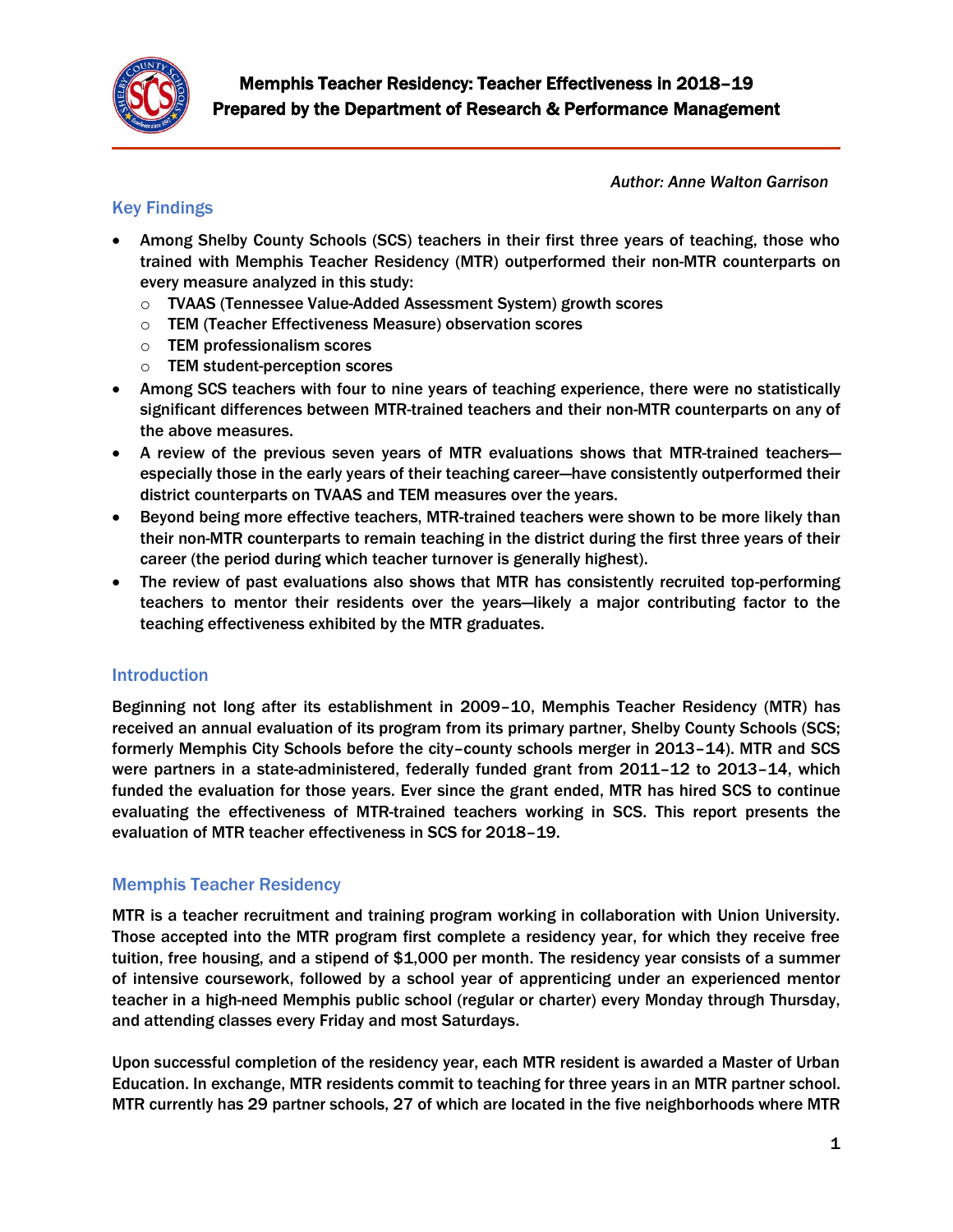

*Author: Anne Walton Garrison*

# Key Findings

- Among Shelby County Schools (SCS) teachers in their first three years of teaching, those who trained with Memphis Teacher Residency (MTR) outperformed their non-MTR counterparts on every measure analyzed in this study:
	- o TVAAS (Tennessee Value-Added Assessment System) growth scores
	- o TEM (Teacher Effectiveness Measure) observation scores
	- o TEM professionalism scores
	- o TEM student-perception scores
- Among SCS teachers with four to nine years of teaching experience, there were no statistically significant differences between MTR-trained teachers and their non-MTR counterparts on any of the above measures.
- A review of the previous seven years of MTR evaluations shows that MTR-trained teachers especially those in the early years of their teaching career—have consistently outperformed their district counterparts on TVAAS and TEM measures over the years.
- Beyond being more effective teachers, MTR-trained teachers were shown to be more likely than their non-MTR counterparts to remain teaching in the district during the first three years of their career (the period during which teacher turnover is generally highest).
- The review of past evaluations also shows that MTR has consistently recruited top-performing teachers to mentor their residents over the years—likely a major contributing factor to the teaching effectiveness exhibited by the MTR graduates.

# Introduction

Beginning not long after its establishment in 2009–10, Memphis Teacher Residency (MTR) has received an annual evaluation of its program from its primary partner, Shelby County Schools (SCS; formerly Memphis City Schools before the city–county schools merger in 2013–14). MTR and SCS were partners in a state-administered, federally funded grant from 2011–12 to 2013–14, which funded the evaluation for those years. Ever since the grant ended, MTR has hired SCS to continue evaluating the effectiveness of MTR-trained teachers working in SCS. This report presents the evaluation of MTR teacher effectiveness in SCS for 2018–19.

# Memphis Teacher Residency

MTR is a teacher recruitment and training program working in collaboration with Union University. Those accepted into the MTR program first complete a residency year, for which they receive free tuition, free housing, and a stipend of \$1,000 per month. The residency year consists of a summer of intensive coursework, followed by a school year of apprenticing under an experienced mentor teacher in a high-need Memphis public school (regular or charter) every Monday through Thursday, and attending classes every Friday and most Saturdays.

Upon successful completion of the residency year, each MTR resident is awarded a Master of Urban Education. In exchange, MTR residents commit to teaching for three years in an MTR partner school. MTR currently has 29 partner schools, 27 of which are located in the five neighborhoods where MTR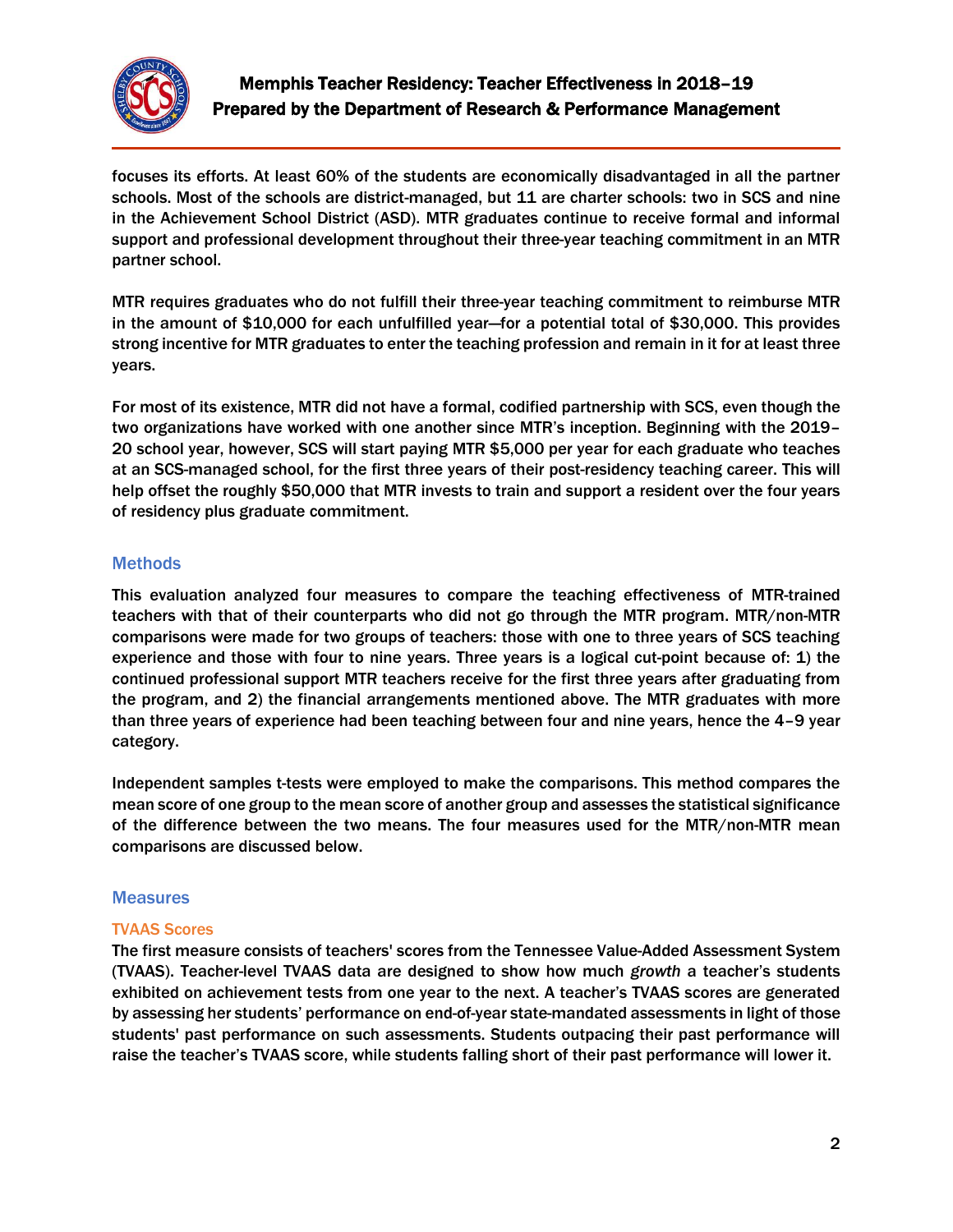

focuses its efforts. At least 60% of the students are economically disadvantaged in all the partner schools. Most of the schools are district-managed, but 11 are charter schools: two in SCS and nine in the Achievement School District (ASD). MTR graduates continue to receive formal and informal support and professional development throughout their three-year teaching commitment in an MTR partner school.

MTR requires graduates who do not fulfill their three-year teaching commitment to reimburse MTR in the amount of \$10,000 for each unfulfilled year—for a potential total of \$30,000. This provides strong incentive for MTR graduates to enter the teaching profession and remain in it for at least three years.

For most of its existence, MTR did not have a formal, codified partnership with SCS, even though the two organizations have worked with one another since MTR's inception. Beginning with the 2019– 20 school year, however, SCS will start paying MTR \$5,000 per year for each graduate who teaches at an SCS-managed school, for the first three years of their post-residency teaching career. This will help offset the roughly \$50,000 that MTR invests to train and support a resident over the four years of residency plus graduate commitment.

## **Methods**

This evaluation analyzed four measures to compare the teaching effectiveness of MTR-trained teachers with that of their counterparts who did not go through the MTR program. MTR/non-MTR comparisons were made for two groups of teachers: those with one to three years of SCS teaching experience and those with four to nine years. Three years is a logical cut-point because of: 1) the continued professional support MTR teachers receive for the first three years after graduating from the program, and 2) the financial arrangements mentioned above. The MTR graduates with more than three years of experience had been teaching between four and nine years, hence the 4-9 year category.

Independent samples t-tests were employed to make the comparisons. This method compares the mean score of one group to the mean score of another group and assesses the statistical significance of the difference between the two means. The four measures used for the MTR/non-MTR mean comparisons are discussed below.

## **Measures**

#### TVAAS Scores

The first measure consists of teachers' scores from the Tennessee Value-Added Assessment System (TVAAS). Teacher-level TVAAS data are designed to show how much *growth* a teacher's students exhibited on achievement tests from one year to the next. A teacher's TVAAS scores are generated by assessing her students' performance on end-of-year state-mandated assessments in light of those students' past performance on such assessments. Students outpacing their past performance will raise the teacher's TVAAS score, while students falling short of their past performance will lower it.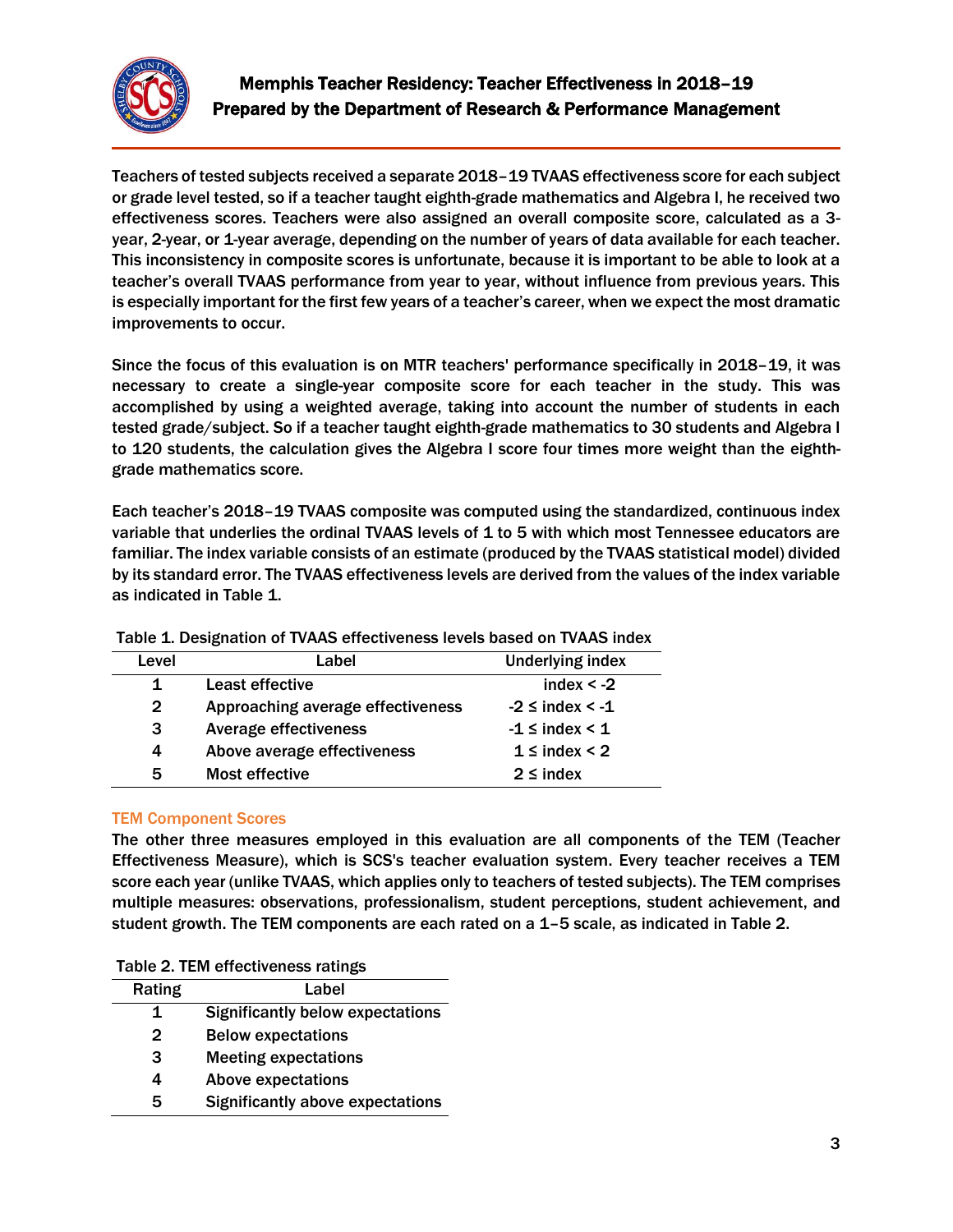

Teachers of tested subjects received a separate 2018–19 TVAAS effectiveness score for each subject or grade level tested, so if a teacher taught eighth-grade mathematics and Algebra I, he received two effectiveness scores. Teachers were also assigned an overall composite score, calculated as a 3 year, 2-year, or 1-year average, depending on the number of years of data available for each teacher. This inconsistency in composite scores is unfortunate, because it is important to be able to look at a teacher's overall TVAAS performance from year to year, without influence from previous years. This is especially important for the first few years of a teacher's career, when we expect the most dramatic improvements to occur.

Since the focus of this evaluation is on MTR teachers' performance specifically in 2018–19, it was necessary to create a single-year composite score for each teacher in the study. This was accomplished by using a weighted average, taking into account the number of students in each tested grade/subject. So if a teacher taught eighth-grade mathematics to 30 students and Algebra I to 120 students, the calculation gives the Algebra I score four times more weight than the eighthgrade mathematics score.

Each teacher's 2018–19 TVAAS composite was computed using the standardized, continuous index variable that underlies the ordinal TVAAS levels of 1 to 5 with which most Tennessee educators are familiar. The index variable consists of an estimate (produced by the TVAAS statistical model) divided by its standard error. The TVAAS effectiveness levels are derived from the values of the index variable as indicated in Table 1.

| Level        | Label                             | <b>Underlying index</b>   |
|--------------|-----------------------------------|---------------------------|
|              | Least effective                   | index $< -2$              |
| $\mathbf{2}$ | Approaching average effectiveness | $-2 \leq$ index $\leq -1$ |
| 3            | Average effectiveness             | $-1 \leq$ index $< 1$     |
| 4            | Above average effectiveness       | $1 \leq \text{index} < 2$ |
| 5            | Most effective                    | $2 \leq$ index            |

Table 1. Designation of TVAAS effectiveness levels based on TVAAS index

#### TEM Component Scores

The other three measures employed in this evaluation are all components of the TEM (Teacher Effectiveness Measure), which is SCS's teacher evaluation system. Every teacher receives a TEM score each year (unlike TVAAS, which applies only to teachers of tested subjects). The TEM comprises multiple measures: observations, professionalism, student perceptions, student achievement, and student growth. The TEM components are each rated on a 1–5 scale, as indicated in Table 2.

| Rating       | Label                                   |
|--------------|-----------------------------------------|
| 1            | <b>Significantly below expectations</b> |
| $\mathbf{2}$ | <b>Below expectations</b>               |
| 3            | <b>Meeting expectations</b>             |
| 4            | <b>Above expectations</b>               |
| 5            | <b>Significantly above expectations</b> |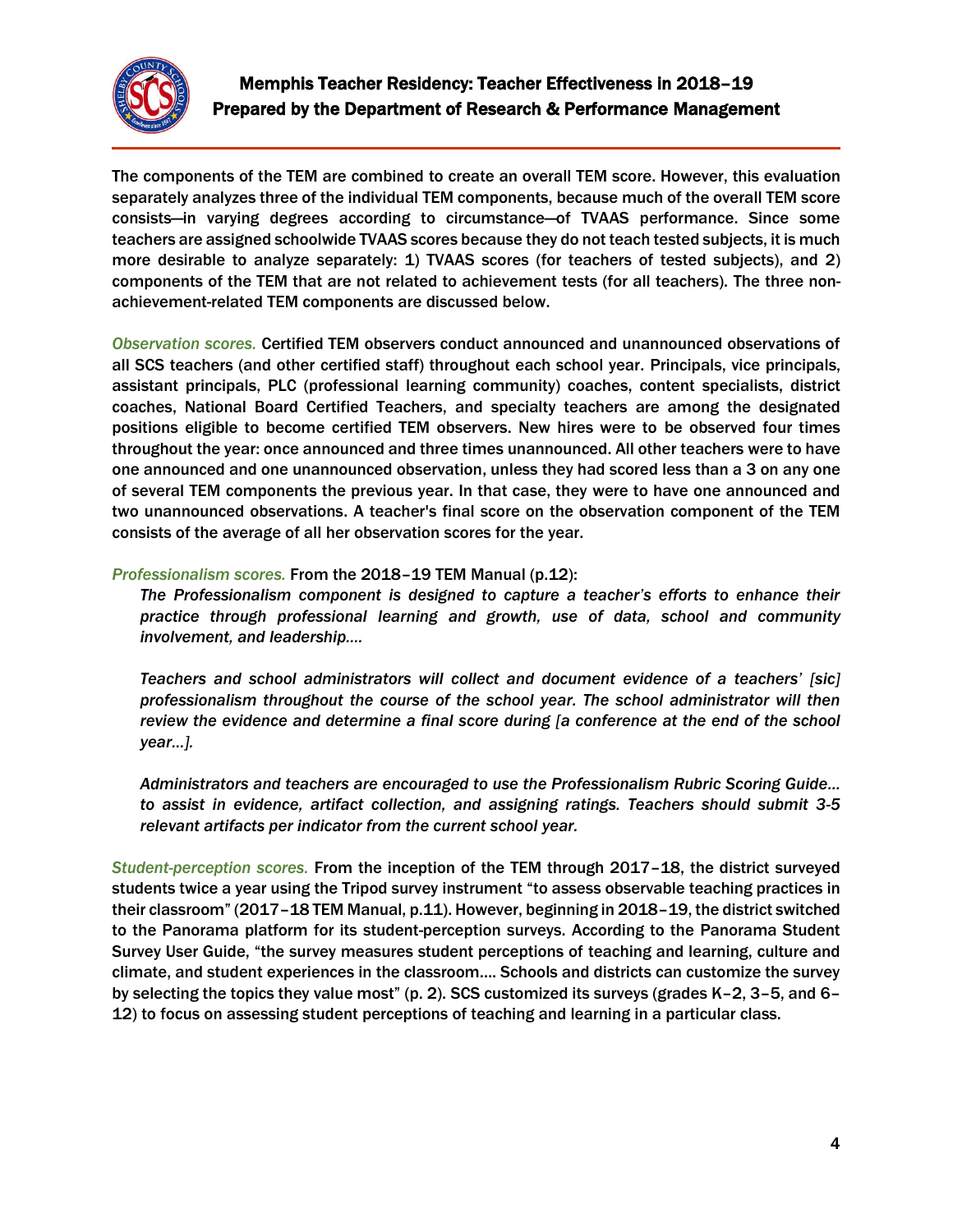

The components of the TEM are combined to create an overall TEM score. However, this evaluation separately analyzes three of the individual TEM components, because much of the overall TEM score consists—in varying degrees according to circumstance—of TVAAS performance. Since some teachers are assigned schoolwide TVAAS scores because they do not teach tested subjects, it is much more desirable to analyze separately: 1) TVAAS scores (for teachers of tested subjects), and 2) components of the TEM that are not related to achievement tests (for all teachers). The three nonachievement-related TEM components are discussed below.

*Observation scores.* Certified TEM observers conduct announced and unannounced observations of all SCS teachers (and other certified staff) throughout each school year. Principals, vice principals, assistant principals, PLC (professional learning community) coaches, content specialists, district coaches, National Board Certified Teachers, and specialty teachers are among the designated positions eligible to become certified TEM observers. New hires were to be observed four times throughout the year: once announced and three times unannounced. All other teachers were to have one announced and one unannounced observation, unless they had scored less than a 3 on any one of several TEM components the previous year. In that case, they were to have one announced and two unannounced observations. A teacher's final score on the observation component of the TEM consists of the average of all her observation scores for the year.

### *Professionalism scores.* From the 2018–19 TEM Manual (p.12):

*The Professionalism component is designed to capture a teacher's efforts to enhance their practice through professional learning and growth, use of data, school and community involvement, and leadership….*

*Teachers and school administrators will collect and document evidence of a teachers' [sic] professionalism throughout the course of the school year. The school administrator will then review the evidence and determine a final score during [a conference at the end of the school year…].*

*Administrators and teachers are encouraged to use the Professionalism Rubric Scoring Guide… to assist in evidence, artifact collection, and assigning ratings. Teachers should submit 3-5 relevant artifacts per indicator from the current school year.*

*Student-perception scores.* From the inception of the TEM through 2017–18, the district surveyed students twice a year using the Tripod survey instrument "to assess observable teaching practices in their classroom" (2017–18 TEM Manual, p.11). However, beginning in 2018–19, the district switched to the Panorama platform for its student-perception surveys. According to the Panorama Student Survey User Guide, "the survey measures student perceptions of teaching and learning, culture and climate, and student experiences in the classroom…. Schools and districts can customize the survey by selecting the topics they value most" (p. 2). SCS customized its surveys (grades K–2, 3–5, and 6– 12) to focus on assessing student perceptions of teaching and learning in a particular class.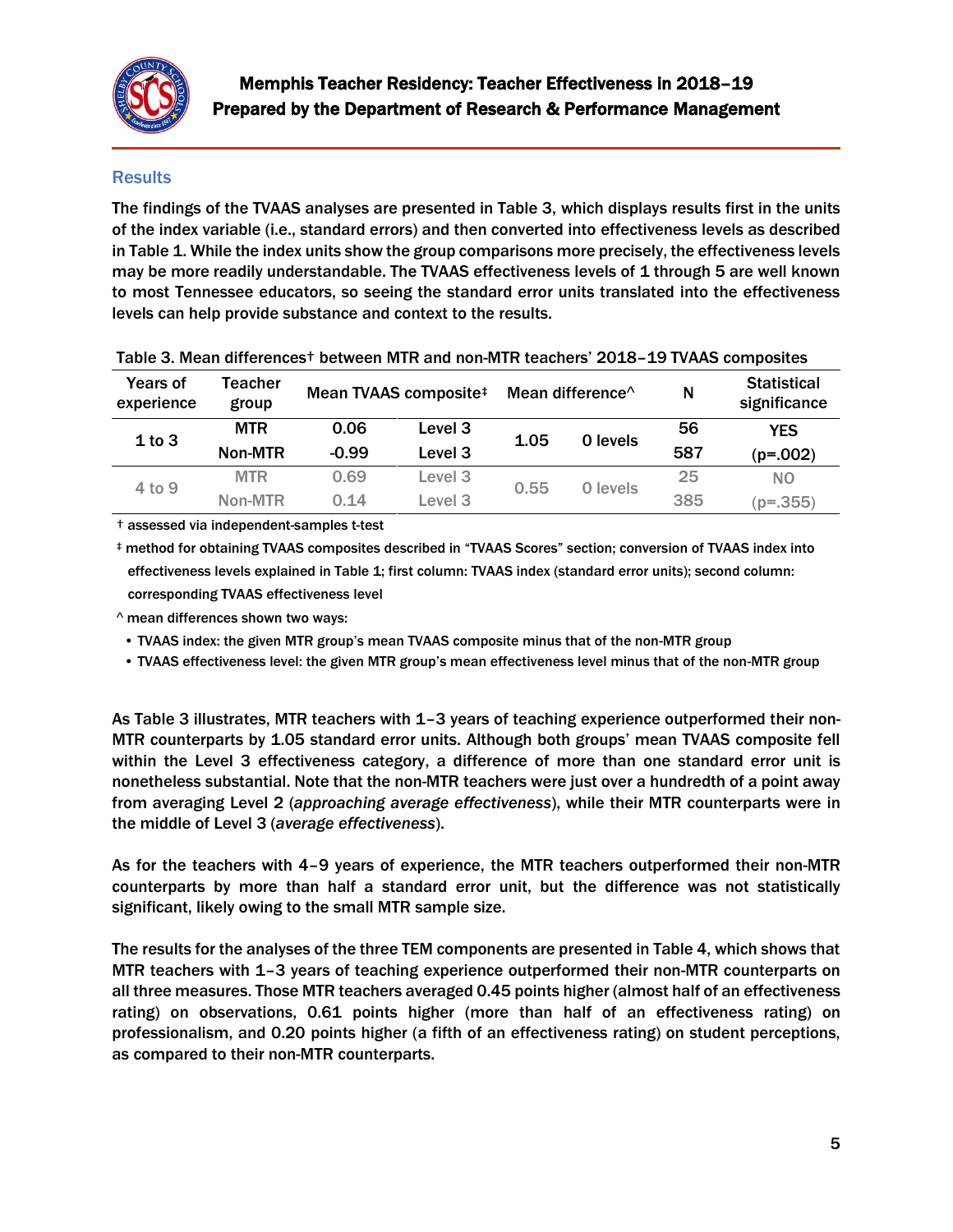

## **Results**

The findings of the TVAAS analyses are presented in Table 3, which displays results first in the units of the index variable (i.e., standard errors) and then converted into effectiveness levels as described in Table 1. While the index units show the group comparisons more precisely, the effectiveness levels may be more readily understandable. The TVAAS effectiveness levels of 1 through 5 are well known to most Tennessee educators, so seeing the standard error units translated into the effectiveness levels can help provide substance and context to the results.

| Years of<br>experience | Teacher<br>group |         | Mean TVAAS composite# | Mean difference <sup><math>\wedge</math></sup> |          | N   | <b>Statistical</b><br>significance |
|------------------------|------------------|---------|-----------------------|------------------------------------------------|----------|-----|------------------------------------|
| 1 to 3                 | <b>MTR</b>       | 0.06    | Level 3               | 1.05                                           | 0 levels | 56  | <b>YES</b>                         |
|                        | Non-MTR          | $-0.99$ | Level 3               |                                                |          | 587 | $(p=.002)$                         |
| 4 to 9                 | <b>MTR</b>       | 0.69    | Level 3               | 0.55                                           | 0 levels | 25  | N <sub>O</sub>                     |
|                        | Non-MTR          | 0.14    | Level 3               |                                                |          | 385 | $(p=.355)$                         |

#### Table 3. Mean differences† between MTR and non-MTR teachers' 2018–19 TVAAS composites

† assessed via independent-samples t-test

‡ method for obtaining TVAAS composites described in "TVAAS Scores" section; conversion of TVAAS index into effectiveness levels explained in Table 1; first column: TVAAS index (standard error units); second column: corresponding TVAAS effectiveness level

^ mean differences shown two ways:

• TVAAS index: the given MTR group's mean TVAAS composite minus that of the non-MTR group

• TVAAS effectiveness level: the given MTR group's mean effectiveness level minus that of the non-MTR group

As Table 3 illustrates, MTR teachers with 1–3 years of teaching experience outperformed their non-MTR counterparts by 1.05 standard error units. Although both groups' mean TVAAS composite fell within the Level 3 effectiveness category, a difference of more than one standard error unit is nonetheless substantial. Note that the non-MTR teachers were just over a hundredth of a point away from averaging Level 2 (*approaching average effectiveness*), while their MTR counterparts were in the middle of Level 3 (*average effectiveness*).

As for the teachers with 4–9 years of experience, the MTR teachers outperformed their non-MTR counterparts by more than half a standard error unit, but the difference was not statistically significant, likely owing to the small MTR sample size.

The results for the analyses of the three TEM components are presented in Table 4, which shows that MTR teachers with 1–3 years of teaching experience outperformed their non-MTR counterparts on all three measures. Those MTR teachers averaged 0.45 points higher (almost half of an effectiveness rating) on observations, 0.61 points higher (more than half of an effectiveness rating) on professionalism, and 0.20 points higher (a fifth of an effectiveness rating) on student perceptions, as compared to their non-MTR counterparts.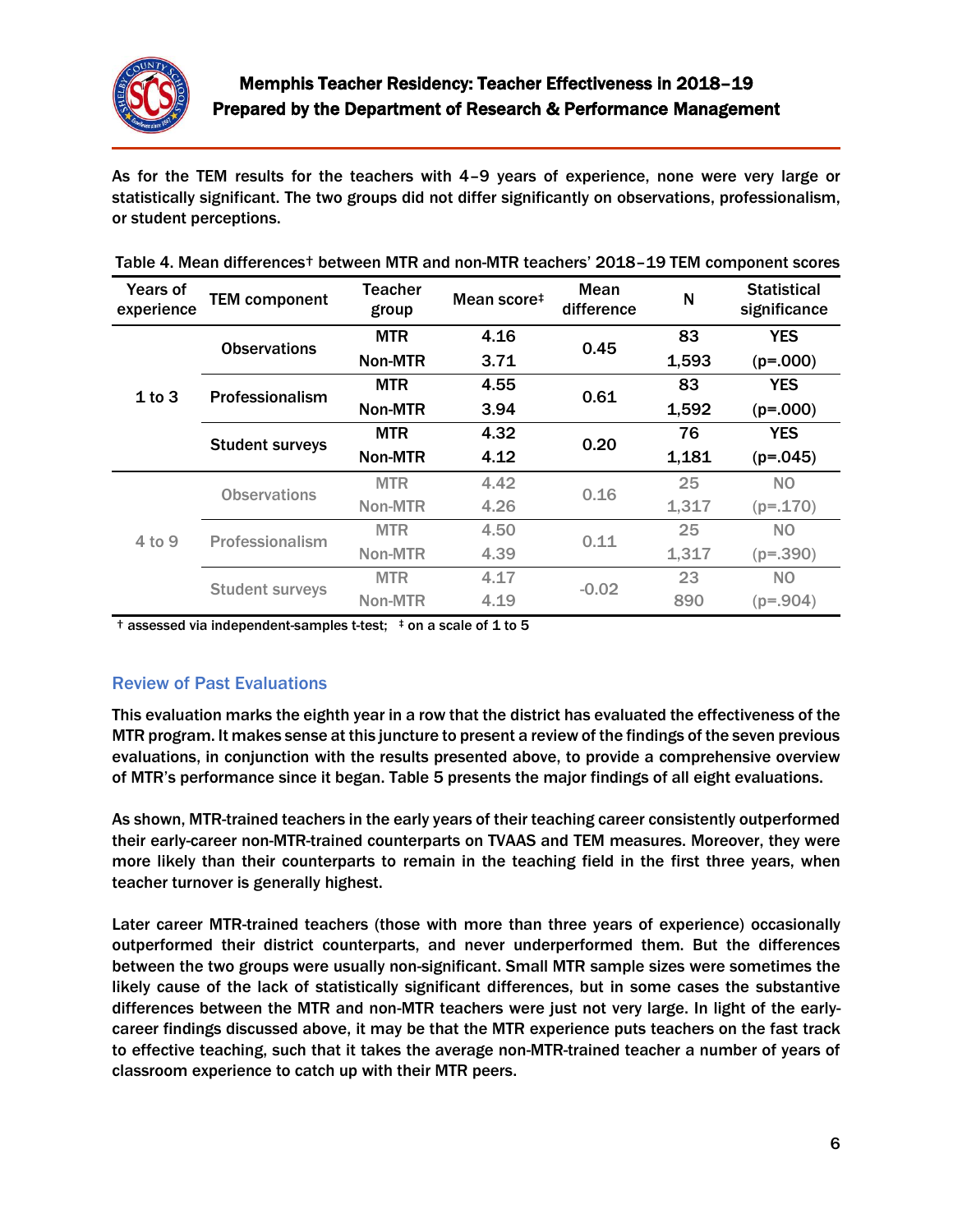

As for the TEM results for the teachers with 4–9 years of experience, none were very large or statistically significant. The two groups did not differ significantly on observations, professionalism, or student perceptions.

| <b>Years of</b><br>experience | <b>TEM component</b>   | <b>Mean</b><br><b>Teacher</b><br>Mean score <sup>#</sup><br>group |      | difference | $\mathsf{N}$ | <b>Statistical</b><br>significance |
|-------------------------------|------------------------|-------------------------------------------------------------------|------|------------|--------------|------------------------------------|
|                               | <b>Observations</b>    | <b>MTR</b>                                                        | 4.16 | 0.45       | 83           | <b>YES</b>                         |
| 1 to 3                        |                        | Non-MTR                                                           | 3.71 |            | 1,593        | $(p=.000)$                         |
|                               | Professionalism        | <b>MTR</b>                                                        | 4.55 | 0.61       | 83           | <b>YES</b>                         |
|                               |                        | Non-MTR                                                           | 3.94 |            | 1,592        | $(p=.000)$                         |
|                               | <b>Student surveys</b> | <b>MTR</b>                                                        | 4.32 | 0.20       | 76           | <b>YES</b>                         |
|                               |                        | Non-MTR                                                           | 4.12 |            | 1,181        | $(p=.045)$                         |
| 4 to 9                        | <b>Observations</b>    | <b>MTR</b>                                                        | 4.42 | 0.16       | 25           | N <sub>O</sub>                     |
|                               |                        | Non-MTR                                                           | 4.26 |            | 1,317        | $(p=.170)$                         |
|                               | Professionalism        | <b>MTR</b>                                                        | 4.50 | 0.11       | 25           | N <sub>O</sub>                     |
|                               |                        | Non-MTR                                                           | 4.39 |            | 1,317        | $(p=.390)$                         |
|                               | <b>Student surveys</b> | <b>MTR</b>                                                        | 4.17 | $-0.02$    | 23           | NO.                                |
|                               |                        | Non-MTR                                                           | 4.19 |            | 890          | $(p=.904)$                         |

| Table 4. Mean differences <sup>+</sup> between MTR and non-MTR teachers' 2018-19 TEM component scores |  |  |  |  |
|-------------------------------------------------------------------------------------------------------|--|--|--|--|
|-------------------------------------------------------------------------------------------------------|--|--|--|--|

 $\dagger$  assessed via independent-samples t-test;  $\ddagger$  on a scale of 1 to 5

## Review of Past Evaluations

This evaluation marks the eighth year in a row that the district has evaluated the effectiveness of the MTR program. It makes sense at this juncture to present a review of the findings of the seven previous evaluations, in conjunction with the results presented above, to provide a comprehensive overview of MTR's performance since it began. Table 5 presents the major findings of all eight evaluations.

As shown, MTR-trained teachers in the early years of their teaching career consistently outperformed their early-career non-MTR-trained counterparts on TVAAS and TEM measures. Moreover, they were more likely than their counterparts to remain in the teaching field in the first three years, when teacher turnover is generally highest.

Later career MTR-trained teachers (those with more than three years of experience) occasionally outperformed their district counterparts, and never underperformed them. But the differences between the two groups were usually non-significant. Small MTR sample sizes were sometimes the likely cause of the lack of statistically significant differences, but in some cases the substantive differences between the MTR and non-MTR teachers were just not very large. In light of the earlycareer findings discussed above, it may be that the MTR experience puts teachers on the fast track to effective teaching, such that it takes the average non-MTR-trained teacher a number of years of classroom experience to catch up with their MTR peers.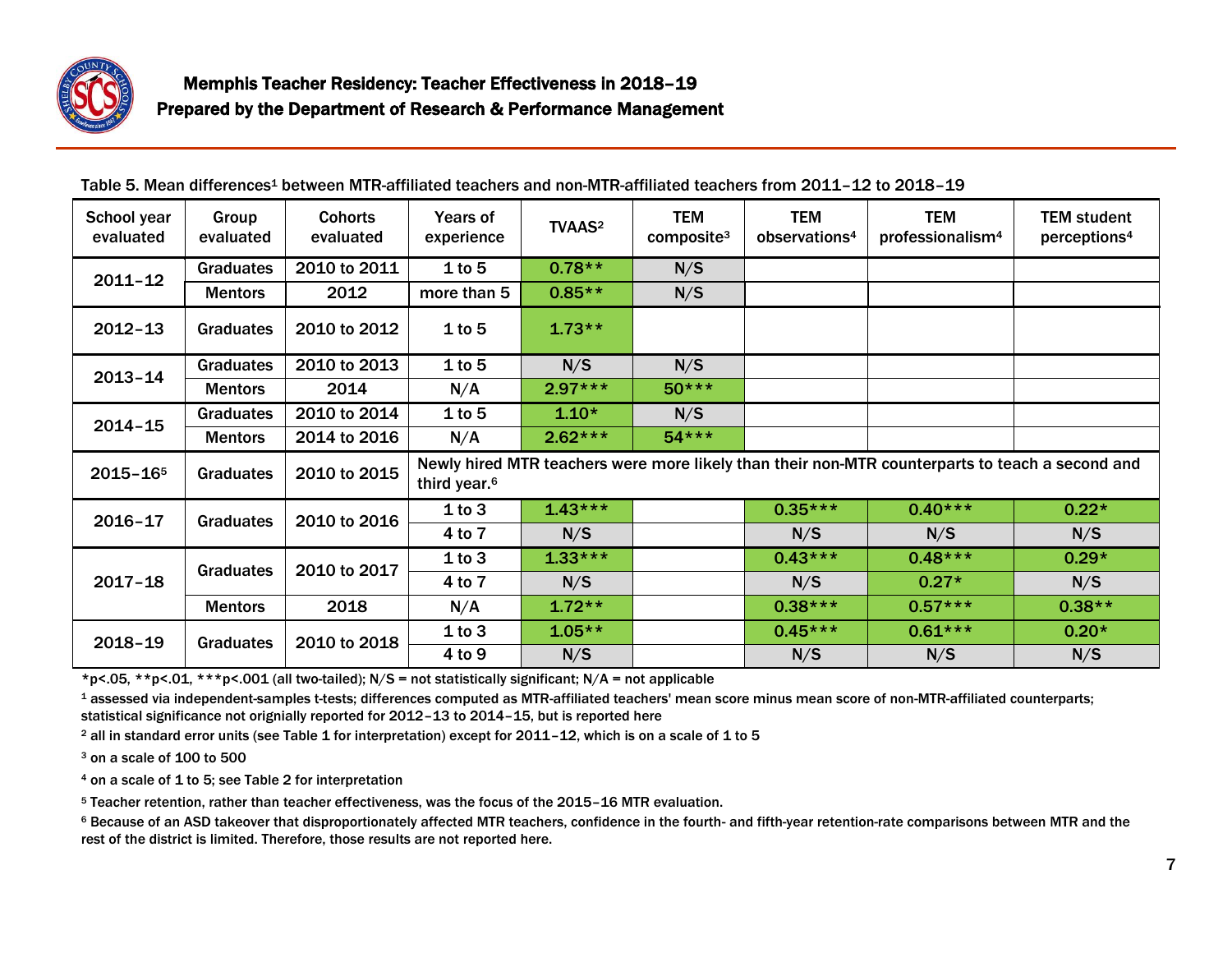

| School year<br>evaluated | Group<br>evaluated | <b>Cohorts</b><br>evaluated | Years of<br>experience                                                                                                      | <b>TVAAS<sup>2</sup></b> | <b>TEM</b><br>composite <sup>3</sup> | <b>TEM</b><br>observations <sup>4</sup> | <b>TEM</b><br>professionalism <sup>4</sup> | <b>TEM student</b><br>perceptions <sup>4</sup> |
|--------------------------|--------------------|-----------------------------|-----------------------------------------------------------------------------------------------------------------------------|--------------------------|--------------------------------------|-----------------------------------------|--------------------------------------------|------------------------------------------------|
| $2011 - 12$              | <b>Graduates</b>   | 2010 to 2011                | 1 to 5                                                                                                                      | $0.78**$                 | N/S                                  |                                         |                                            |                                                |
|                          | <b>Mentors</b>     | 2012                        | more than 5                                                                                                                 | $0.85**$                 | N/S                                  |                                         |                                            |                                                |
| $2012 - 13$              | Graduates          | 2010 to 2012                | 1 to 5                                                                                                                      | $1.73**$                 |                                      |                                         |                                            |                                                |
| $2013 - 14$              | Graduates          | 2010 to 2013                | $1$ to 5                                                                                                                    | N/S                      | N/S                                  |                                         |                                            |                                                |
|                          | <b>Mentors</b>     | 2014                        | N/A                                                                                                                         | $2.97***$                | $50***$                              |                                         |                                            |                                                |
| $2014 - 15$              | <b>Graduates</b>   | 2010 to 2014                | 1 to 5                                                                                                                      | $1.10*$                  | N/S                                  |                                         |                                            |                                                |
|                          | <b>Mentors</b>     | 2014 to 2016                | N/A                                                                                                                         | $2.62***$                | $54***$                              |                                         |                                            |                                                |
| $2015 - 165$             | <b>Graduates</b>   | 2010 to 2015                | Newly hired MTR teachers were more likely than their non-MTR counterparts to teach a second and<br>third year. <sup>6</sup> |                          |                                      |                                         |                                            |                                                |
| $2016 - 17$              | Graduates          | 2010 to 2016                | 1 to 3                                                                                                                      | $1.43***$                |                                      | $0.35***$                               | $0.40***$                                  | $0.22*$                                        |
|                          |                    |                             | 4 to 7                                                                                                                      | N/S                      |                                      | N/S                                     | N/S                                        | N/S                                            |
| $2017 - 18$              | <b>Graduates</b>   | 2010 to 2017                | 1 to 3                                                                                                                      | $1.33***$                |                                      | $0.43***$                               | $0.48***$                                  | $0.29*$                                        |
|                          |                    |                             | 4 to 7                                                                                                                      | N/S                      |                                      | N/S                                     | $0.27*$                                    | N/S                                            |
|                          | <b>Mentors</b>     | 2018                        | N/A                                                                                                                         | $1.72**$                 |                                      | $0.38***$                               | $0.57***$                                  | $0.38**$                                       |
| $2018 - 19$              | <b>Graduates</b>   | 2010 to 2018                | 1 to 3                                                                                                                      | $1.05**$                 |                                      | $0.45***$                               | $0.61***$                                  | $0.20*$                                        |
|                          |                    |                             | 4 to 9                                                                                                                      | N/S                      |                                      | N/S                                     | N/S                                        | N/S                                            |

### Table 5. Mean differences<sup>1</sup> between MTR-affiliated teachers and non-MTR-affiliated teachers from 2011–12 to 2018–19

\*p<.05, \*\*p<.01, \*\*\*p<.001 (all two-tailed); N/S = not statistically significant; N/A = not applicable

<sup>1</sup> assessed via independent-samples t-tests; differences computed as MTR-affiliated teachers' mean score minus mean score of non-MTR-affiliated counterparts; statistical significance not orignially reported for 2012–13 to 2014–15, but is reported here

<sup>2</sup> all in standard error units (see Table 1 for interpretation) except for 2011–12, which is on a scale of 1 to 5

<sup>3</sup> on a scale of 100 to 500

<sup>4</sup> on a scale of 1 to 5; see Table 2 for interpretation

<sup>5</sup> Teacher retention, rather than teacher effectiveness, was the focus of the 2015–16 MTR evaluation.

<sup>6</sup> Because of an ASD takeover that disproportionately affected MTR teachers, confidence in the fourth- and fifth-year retention-rate comparisons between MTR and the rest of the district is limited. Therefore, those results are not reported here.